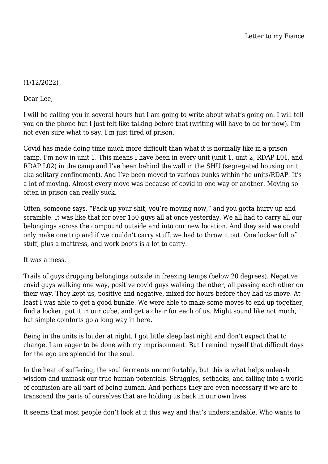## (1/12/2022)

Dear Lee,

I will be calling you in several hours but I am going to write about what's going on. I will tell you on the phone but I just felt like talking before that (writing will have to do for now). I'm not even sure what to say. I'm just tired of prison.

Covid has made doing time much more difficult than what it is normally like in a prison camp. I'm now in unit 1. This means I have been in every unit (unit 1, unit 2, RDAP L01, and RDAP L02) in the camp and I've been behind the wall in the SHU (segregated housing unit aka solitary confinement). And I've been moved to various bunks within the units/RDAP. It's a lot of moving. Almost every move was because of covid in one way or another. Moving so often in prison can really suck.

Often, someone says, "Pack up your shit, you're moving now," and you gotta hurry up and scramble. It was like that for over 150 guys all at once yesterday. We all had to carry all our belongings across the compound outside and into our new location. And they said we could only make one trip and if we couldn't carry stuff, we had to throw it out. One locker full of stuff, plus a mattress, and work boots is a lot to carry.

It was a mess.

Trails of guys dropping belongings outside in freezing temps (below 20 degrees). Negative covid guys walking one way, positive covid guys walking the other, all passing each other on their way. They kept us, positive and negative, mixed for hours before they had us move. At least I was able to get a good bunkie. We were able to make some moves to end up together, find a locker, put it in our cube, and get a chair for each of us. Might sound like not much, but simple comforts go a long way in here.

Being in the units is louder at night. I got little sleep last night and don't expect that to change. I am eager to be done with my imprisonment. But I remind myself that difficult days for the ego are splendid for the soul.

In the heat of suffering, the soul ferments uncomfortably, but this is what helps unleash wisdom and unmask our true human potentials. Struggles, setbacks, and falling into a world of confusion are all part of being human. And perhaps they are even necessary if we are to transcend the parts of ourselves that are holding us back in our own lives.

It seems that most people don't look at it this way and that's understandable. Who wants to